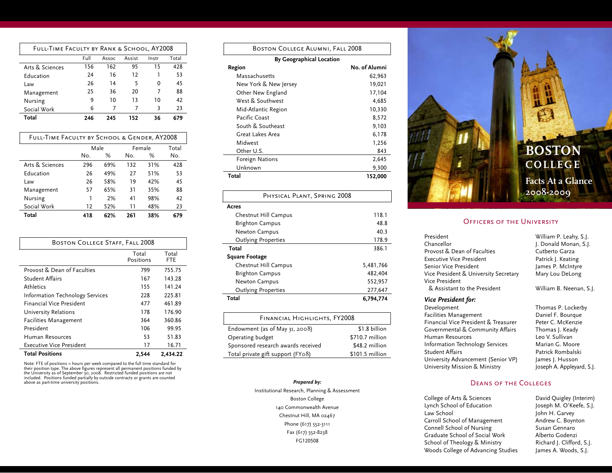| FULL-TIME FACULTY BY RANK & SCHOOL, AY2008 |      |       |        |       |       |
|--------------------------------------------|------|-------|--------|-------|-------|
|                                            | Full | Assoc | Assist | Instr | Total |
| Arts & Sciences                            | 156  | 162   | 95     | 15    | 428   |
| Education                                  | 24   | 16    | 12     |       | 53    |
| Law                                        | 26   | 14    | 5      | O     | 45    |
| Management                                 | 25   | 36    | 20     | 7     | 88    |
| Nursing                                    | ٩    | 10    | 13     | 10    | 42    |
| Social Work                                | 6    | 7     |        | 3     | 23    |
| Total                                      | 246  | 245   | 152    | 36    |       |

| FULL-TIME FACULTY BY SCHOOL & GENDER, AY2008 |      |     |        |     |       |
|----------------------------------------------|------|-----|--------|-----|-------|
|                                              | Male |     | Female |     | Total |
|                                              | No.  | %   | No.    | %   | No.   |
| Arts & Sciences                              | 296  | 69% | 132    | 31% | 428   |
| Education                                    | 26   | 49% | 27     | 51% | 53    |
| Law                                          | 26   | 58% | 19     | 42% | 45    |
| Management                                   | 57   | 65% | 31     | 35% | 88    |
| Nursing                                      | 1    | 2%  | 41     | 98% | 42    |
| Social Work                                  | 12   | 52% | 11     | 48% | 23    |
| Total                                        | 418  | 62% | 261    | 38% | 679   |

| <b>BOSTON COLLEGE STAFF, FALL 2008</b>      |                    |              |  |  |
|---------------------------------------------|--------------------|--------------|--|--|
|                                             | Total<br>Positions | Total<br>FTE |  |  |
| Provost & Dean of Faculties                 | 799                | 755.75       |  |  |
| <b>Student Affairs</b>                      | 167                | 143.28       |  |  |
| Athletics                                   | 155                | 141.24       |  |  |
| <b>Information Technology Services</b>      | 228                | 225.81       |  |  |
| <b>Financial Vice President</b>             | 477                | 461.89       |  |  |
| University Relations                        | 178                | 176.90       |  |  |
| <b>Facilities Management</b>                | 364                | 360.86       |  |  |
| President                                   | 106                | 99.95        |  |  |
| Human Resources                             | 53                 | 51.83        |  |  |
| <b>Executive Vice President</b>             | 17                 | 16.71        |  |  |
| <b>Total Positions</b><br>2.434.22<br>2,544 |                    |              |  |  |

Note: FTE of positions = hours per week compared to the full time standard for their position type. The above figures represent all permanent positions funded by the University as of September 30, 2008. Restricted funded positions are not included. Positions funded partially by outside contracts or grants are counted above as part-time university positions.

| BOSTON COLLEGE ALUMNI, FALL 2008 |               |  |  |  |
|----------------------------------|---------------|--|--|--|
| <b>By Geographical Location</b>  |               |  |  |  |
| Region                           | No. of Alumni |  |  |  |
| Massachusetts                    | 62.963        |  |  |  |
| New York & New Jersey            | 19,021        |  |  |  |
| Other New England                | 17,104        |  |  |  |
| West & Southwest                 | 4,685         |  |  |  |
| Mid-Atlantic Region              | 10,330        |  |  |  |
| Pacific Coast                    | 8,572         |  |  |  |
| South & Southeast                | 9,103         |  |  |  |
| Great Lakes Area                 | 6,178         |  |  |  |
| Midwest                          | 1,256         |  |  |  |
| Other U.S.                       | 843           |  |  |  |
| Foreign Nations                  | 2,645         |  |  |  |
| Unknown                          | 9,300         |  |  |  |
| Total                            | 152,000       |  |  |  |
|                                  |               |  |  |  |
| PHYSICAL PLANT, SPRING 2008      |               |  |  |  |
| Acres                            |               |  |  |  |
| Chestnut Hill Campus             | 118.1         |  |  |  |
| <b>Brighton Campus</b>           | 48.8          |  |  |  |
| Newton Campus                    | 40.3          |  |  |  |
| <b>Outlying Properties</b>       | 178.9         |  |  |  |
| Total                            | 386.1         |  |  |  |

## **Square Footage**

| Total                      | 6,794,774 |
|----------------------------|-----------|
| <b>Outlying Properties</b> | 277,647   |
| Newton Campus              | 552.957   |
| <b>Brighton Campus</b>     | 482.404   |
| Chestnut Hill Campus       | 5,481,766 |
|                            |           |

| FINANCIAL HIGHLIGHTS, FY2008       |                 |  |  |  |
|------------------------------------|-----------------|--|--|--|
| Endowment (as of May 31, 2008)     | \$1.8 billion   |  |  |  |
| Operating budget                   | \$710.7 million |  |  |  |
| Sponsored research awards received | \$48.2 million  |  |  |  |
| Total private gift support (FY08)  | \$101.5 million |  |  |  |

*Prepared by:* Institutional Research, Planning & Assessment Boston College 140 Commonwealth Avenue Chestnut Hill, MA 02467 Phone (617) 552-3111 Fax (617) 552-8238 FG120508



## OFFICERS OF THE UNIVERSITY

| President                             | William P. Leahy, S.J. |
|---------------------------------------|------------------------|
| Chancellor                            | J. Donald Monan, S.J   |
| Provost & Dean of Faculties           | Cutberto Garza         |
| Executive Vice President              | Patrick J. Keating     |
| Senior Vice President                 | James P. McIntyre      |
| Vice President & University Secretary | Mary Lou DeLong        |
| Vice President                        |                        |
| & Assistant to the President          | William B. Neenan, S   |
|                                       |                        |

*Vice President for:* Facilities Management<br>
Financial Vice President & Treasurer Peter C. McKenzie Financial Vice President & Treasurer Governmental & Community Affairs Thomas J. Keady Human Resources<br>
1988 - Information Technology Services<br>
Marian G. Moore Information Technology Services Student Affairs **Batrick Rombalski** University Advancement (Senior VP) James J. Husson University Mission & Ministry **State State State A. Appleyard, S.J.** 

Keating McIntyre u DeLong B. Neenan, S.J. Thomas P. Lockerby

Monan, S.J.

## Deans of the Colleges

College of Arts & Sciences<br>
Lynch School of Education<br>
Joseph M. O'Keefe, S.J. Law School **Disk Communist Communist Communist Communist Communist Communist Communist Communist Communist Communist Communist Communist Communist Communist Communist Communist Communist Communist Communist Communist Commu** Carroll School of Management **Andrew C. Boynton**<br> **Connell School of Nursing Susan Gennaro** Connell School of Nursing Graduate School of Social Work Alberto Godenzi School of Theology & Ministry Richard J. Clifford, S.J. Woods College of Advancing Studies James A. Woods, S.J.

Joseph M. O'Keefe, S.J.